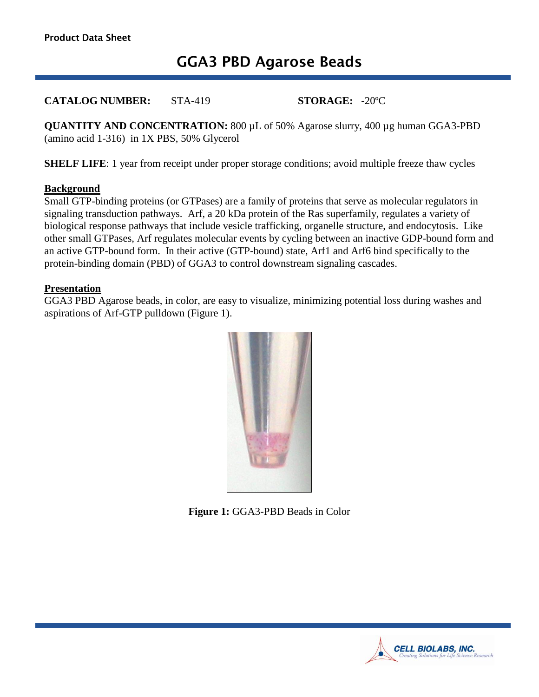# **GGA3 PBD Agarose Beads**

**CATALOG NUMBER:** STA-419 **STORAGE:** -20ºC

**QUANTITY AND CONCENTRATION:** 800 µL of 50% Agarose slurry, 400 µg human GGA3-PBD (amino acid 1-316) in 1X PBS, 50% Glycerol

**SHELF LIFE:** 1 year from receipt under proper storage conditions; avoid multiple freeze thaw cycles

#### **Background**

Small GTP-binding proteins (or GTPases) are a family of proteins that serve as molecular regulators in signaling transduction pathways. Arf, a 20 kDa protein of the Ras superfamily, regulates a variety of biological response pathways that include vesicle trafficking, organelle structure, and endocytosis. Like other small GTPases, Arf regulates molecular events by cycling between an inactive GDP-bound form and an active GTP-bound form. In their active (GTP-bound) state, Arf1 and Arf6 bind specifically to the protein-binding domain (PBD) of GGA3 to control downstream signaling cascades.

#### **Presentation**

GGA3 PBD Agarose beads, in color, are easy to visualize, minimizing potential loss during washes and aspirations of Arf-GTP pulldown (Figure 1).



**Figure 1:** GGA3-PBD Beads in Color

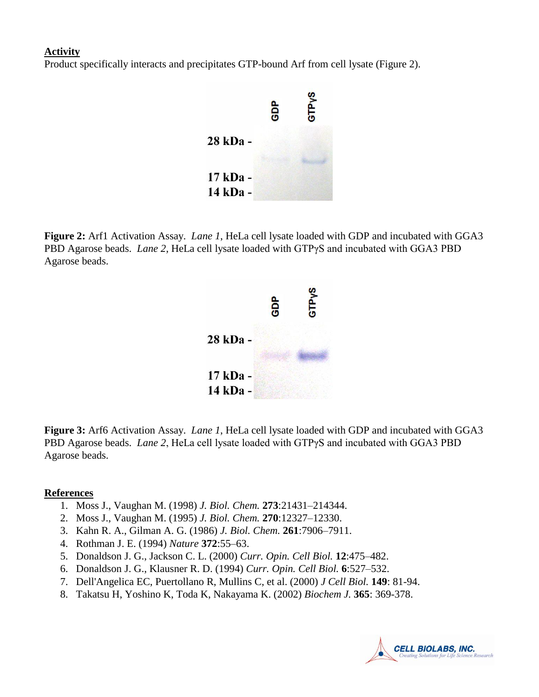#### **Activity**

Product specifically interacts and precipitates GTP-bound Arf from cell lysate (Figure 2).



**Figure 2:** Arf1 Activation Assay. *Lane 1*, HeLa cell lysate loaded with GDP and incubated with GGA3 PBD Agarose beads. *Lane 2*, HeLa cell lysate loaded with GTPγS and incubated with GGA3 PBD Agarose beads.



**Figure 3:** Arf6 Activation Assay. *Lane 1*, HeLa cell lysate loaded with GDP and incubated with GGA3 PBD Agarose beads. *Lane 2*, HeLa cell lysate loaded with GTPγS and incubated with GGA3 PBD Agarose beads.

#### **References**

- 1. Moss J., Vaughan M. (1998) *J. Biol. Chem.* **273**:21431–214344.
- 2. Moss J., Vaughan M. (1995) *J. Biol. Chem.* **270**:12327–12330.
- 3. Kahn R. A., Gilman A. G. (1986) *J. Biol. Chem.* **261**:7906–7911.
- 4. Rothman J. E. (1994) *Nature* **372**:55–63.
- 5. Donaldson J. G., Jackson C. L. (2000) *Curr. Opin. Cell Biol.* **12**:475–482.
- 6. Donaldson J. G., Klausner R. D. (1994) *Curr. Opin. Cell Biol.* **6**:527–532.
- 7. Dell'Angelica EC, Puertollano R, Mullins C, et al. (2000) *J Cell Biol.* **149**: 81-94.
- 8. Takatsu H, Yoshino K, Toda K, Nakayama K. (2002) *Biochem J.* **365**: 369-378.